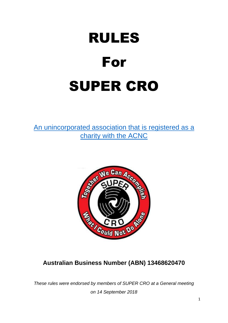# RULES For SUPER CRO

[An unincorporated association that is registered as a](https://www.acnc.gov.au/charity/4c5c24bdcc4ee039d9c7fec8f49bb344)  [charity with the ACNC](https://www.acnc.gov.au/charity/4c5c24bdcc4ee039d9c7fec8f49bb344)



# **Australian Business Number (ABN) 13468620470**

*These rules were endorsed by members of SUPER CRO at a General meeting on 14 September 2018*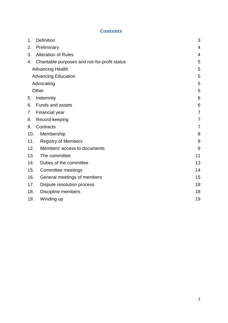#### **Contents**

| 1.    | <b>Definition</b>                             | 3              |
|-------|-----------------------------------------------|----------------|
| 2.    | Preliminary                                   | 4              |
| 3.    | <b>Alteration of Rules</b>                    | 4              |
| 4.    | Charitable purposes and not-for-profit status | 5              |
|       | <b>Advancing Health</b>                       | 5              |
|       | <b>Advancing Education</b>                    | 5              |
|       | Advocating                                    | 5              |
| Other |                                               | 5              |
| 5.    | Indemnity                                     | 6              |
| 6.    | <b>Funds and assets</b>                       | 6              |
| 7.    | Financial year                                | $\overline{7}$ |
| 8.    | Record-keeping                                | 7              |
| 9.    | Contracts                                     | 7              |
| 10.   | Membership                                    | 8              |
| 11.   | <b>Registry of Members</b>                    | 9              |
| 12.   | Members' access to documents                  | 9              |
| 13.   | The committee                                 | 11             |
| 14.   | Duties of the committee                       | 13             |
| 15.   | Committee meetings                            | 14             |
| 16.   | General meetings of members                   | 15             |
| 17.   | Dispute resolution process                    | 18             |
| 18.   | Discipline members                            | 18             |
| 19.   | Winding up                                    | 19             |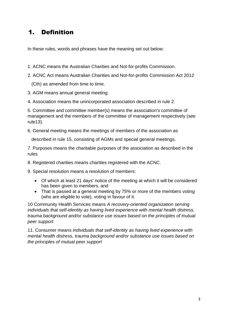## <span id="page-2-0"></span>1. Definition

In these rules, words and phrases have the meaning set out below:

- 1. ACNC means the Australian Charities and Not-for-profits Commission.
- 2. ACNC Act means Australian Charities and Not-for-profits Commission Act 2012

(Cth) as amended from time to time.

3. AGM means annual general meeting.

4. Association means the unincorporated association described in rule 2.

5. Committee and committee member(s) means the association's committee of management and the members of the committee of management respectively (see rule13).

6. General meeting means the meetings of members of the association as

described in rule 15, consisting of AGMs and special general meetings.

7. Purposes means the charitable purposes of the association as described in the rules

8. Registered charities means charities registered with the ACNC.

9. Special resolution means a resolution of members:

- Of which at least 21 days' notice of the meeting at which it will be considered has been given to members, and
- That is passed at a general meeting by 75% or more of the members voting (who are eligible to vote), voting in favour of it.

10 Community Health Services means *A recovery-oriented organization serving individuals that self-identity as having lived experience with mental health distress, trauma background and/or substance use issues based on the principles of mutual peer support*

11. Consumer means *individuals that self-identity as having lived experience with mental health distress, trauma background and/or substance use issues based on the principles of mutual peer support*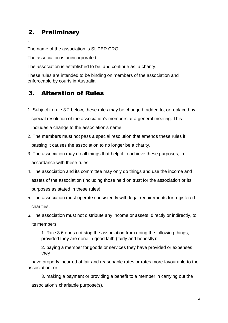#### <span id="page-3-0"></span>2. Preliminary

.

The name of the association is SUPER CRO.

The association is unincorporated.

The association is established to be, and continue as, a charity.

These rules are intended to be binding on members of the association and enforceable by courts in Australia.

## <span id="page-3-1"></span>3. Alteration of Rules

- 1. Subject to rule 3.2 below, these rules may be changed, added to, or replaced by special resolution of the association's members at a general meeting. This includes a change to the association's name.
- 2. The members must not pass a special resolution that amends these rules if passing it causes the association to no longer be a charity.
- 3. The association may do all things that help it to achieve these purposes, in accordance with these rules.
- 4. The association and its committee may only do things and use the income and assets of the association (including those held on trust for the association or its purposes as stated in these rules).
- 5. The association must operate consistently with legal requirements for registered charities.
- 6. The association must not distribute any income or assets, directly or indirectly, to its members.

1. Rule 3.6 does not stop the association from doing the following things, provided they are done in good faith (fairly and honestly):

2. paying a member for goods or services they have provided or expenses they

 have properly incurred at fair and reasonable rates or rates more favourable to the association, or

3. making a payment or providing a benefit to a member in carrying out the association's charitable purpose(s).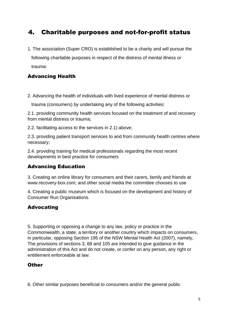## <span id="page-4-0"></span>4. Charitable purposes and not-for-profit status

1. The association (Super CRO) is established to be a charity and will pursue the following charitable purposes in respect of the distress of mental illness or trauma:

#### <span id="page-4-1"></span>Advancing Health

2. Advancing the health of individuals with lived experience of mental distress or

trauma (consumers) by undertaking any of the following activities:

2.1. providing community health services focused on the treatment of and recovery from mental distress or trauma;

2.2. facilitating access to the services in 2.1) above;

2.3. providing patient transport services to and from community health centres where necessary;

2.4. providing training for medical professionals regarding the most recent developments in best practice for consumers

#### <span id="page-4-2"></span>Advancing Education

3. Creating an online library for consumers and their carers, family and friends at www.recovery-box.com; and other social media the committee chooses to use

4. Creating a public museum which is focused on the development and history of Consumer Run Organisations.

#### <span id="page-4-3"></span>Advocating

5. Supporting or opposing a change to any law, policy or practice in the Commonwealth, a state, a territory or another country which impacts on consumers, in particular, opposing Section 195 of the NSW Mental Health Act (2007), namely, The provisions of sections 3, 68 and 105 are intended to give guidance in the administration of this Act and do not create, or confer on any person, any right or entitlement enforceable at law.

#### <span id="page-4-4"></span>**Other**

6. Other similar purposes beneficial to consumers and/or the general public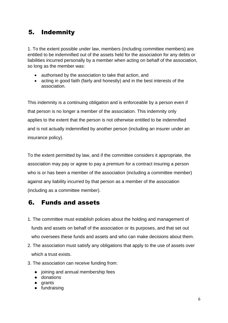## <span id="page-5-0"></span>5. Indemnity

1. To the extent possible under law, members (including committee members) are entitled to be indemnified out of the assets held for the association for any debts or liabilities incurred personally by a member when acting on behalf of the association, so long as the member was:

- authorised by the association to take that action, and
- acting in good faith (fairly and honestly) and in the best interests of the association.

This indemnity is a continuing obligation and is enforceable by a person even if that person is no longer a member of the association. This indemnity only applies to the extent that the person is not otherwise entitled to be indemnified and is not actually indemnified by another person (including an insurer under an insurance policy).

To the extent permitted by law, and if the committee considers it appropriate, the association may pay or agree to pay a premium for a contract insuring a person who is or has been a member of the association (including a committee member) against any liability incurred by that person as a member of the association (including as a committee member).

#### <span id="page-5-1"></span>6. Funds and assets

- 1. The committee must establish policies about the holding and management of funds and assets on behalf of the association or its purposes, and that set out who oversees these funds and assets and who can make decisions about them.
- 2. The association must satisfy any obligations that apply to the use of assets over which a trust exists.
- 3. The association can receive funding from:
	- joining and annual membership fees
	- donations
	- grants
	- fundraising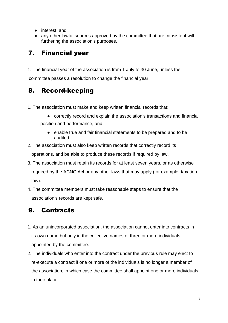- interest, and
- any other lawful sources approved by the committee that are consistent with furthering the association's purposes.

## <span id="page-6-0"></span>7. Financial year

1. The financial year of the association is from 1 July to 30 June, unless the committee passes a resolution to change the financial year.

## <span id="page-6-1"></span>8. Record-keeping

- 1. The association must make and keep written financial records that:
	- correctly record and explain the association's transactions and financial position and performance, and
		- enable true and fair financial statements to be prepared and to be audited.
- 2. The association must also keep written records that correctly record its operations, and be able to produce these records if required by law.
- 3. The association must retain its records for at least seven years, or as otherwise required by the ACNC Act or any other laws that may apply (for example, taxation law).
- 4. The committee members must take reasonable steps to ensure that the association's records are kept safe.

# <span id="page-6-2"></span>9. Contracts

- 1. As an unincorporated association, the association cannot enter into contracts in its own name but only in the collective names of three or more individuals appointed by the committee.
- 2. The individuals who enter into the contract under the previous rule may elect to re-execute a contract if one or more of the individuals is no longer a member of the association, in which case the committee shall appoint one or more individuals in their place.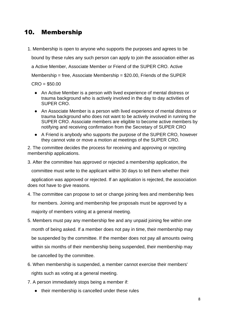#### <span id="page-7-0"></span>10. Membership

1. Membership is open to anyone who supports the purposes and agrees to be

bound by these rules any such person can apply to join the association either as

a Active Member, Associate Member or Friend of the SUPER CRO. Active

Membership = free, Associate Membership =  $$20.00$ . Friends of the SUPER

 $CRO = $50.00$ 

- An Active Member is a person with lived experience of mental distress or trauma background who is actively involved in the day to day activities of SUPER CRO.
- An Associate Member is a person with lived experience of mental distress or trauma background who does not want to be actively involved in running the SUPER CRO. Associate members are eligible to become active members by notifying and receiving confirmation from the Secretary of SUPER CRO
- A Friend is anybody who supports the purpose of the SUPER CRO, however they cannot vote or move a motion at meetings of the SUPER CRO.

2. The committee decides the process for receiving and approving or rejecting membership applications.

3. After the committee has approved or rejected a membership application, the

committee must write to the applicant within 30 days to tell them whether their

 application was approved or rejected. If an application is rejected, the association does not have to give reasons.

4. The committee can propose to set or change joining fees and membership fees

for members. Joining and membership fee proposals must be approved by a

majority of members voting at a general meeting.

- 5. Members must pay any membership fee and any unpaid joining fee within one month of being asked. If a member does not pay in time, their membership may be suspended by the committee. If the member does not pay all amounts owing within six months of their membership being suspended, their membership may be cancelled by the committee.
- 6. When membership is suspended, a member cannot exercise their members' rights such as voting at a general meeting.
- 7. A person immediately stops being a member if:
	- their membership is cancelled under these rules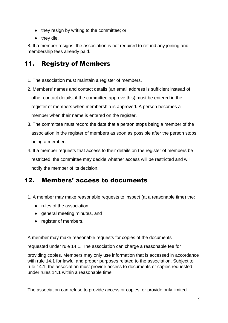- they resign by writing to the committee; or
- they die.

8. If a member resigns, the association is not required to refund any joining and membership fees already paid.

## <span id="page-8-0"></span>11. Registry of Members

- 1. The association must maintain a register of members.
- 2. Members' names and contact details (an email address is sufficient instead of other contact details, if the committee approve this) must be entered in the register of members when membership is approved. A person becomes a member when their name is entered on the register.
- 3. The committee must record the date that a person stops being a member of the association in the register of members as soon as possible after the person stops being a member.
- 4. If a member requests that access to their details on the register of members be restricted, the committee may decide whether access will be restricted and will notify the member of its decision.

## <span id="page-8-1"></span>12. Members' access to documents

- 1. A member may make reasonable requests to inspect (at a reasonable time) the:
	- rules of the association
	- general meeting minutes, and
	- register of members.

A member may make reasonable requests for copies of the documents

requested under rule 14.1. The association can charge a reasonable fee for

providing copies. Members may only use information that is accessed in accordance with rule 14.1 for lawful and proper purposes related to the association. Subject to rule 14.1, the association must provide access to documents or copies requested under rules 14.1 within a reasonable time.

The association can refuse to provide access or copies, or provide only limited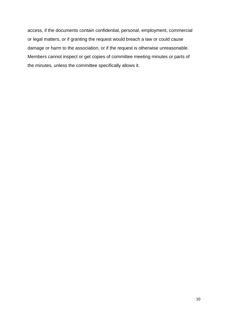access, if the documents contain confidential, personal, employment, commercial or legal matters, or if granting the request would breach a law or could cause damage or harm to the association, or if the request is otherwise unreasonable. Members cannot inspect or get copies of committee meeting minutes or parts of the minutes, unless the committee specifically allows it.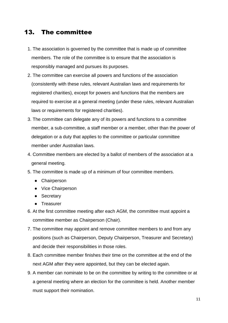#### <span id="page-10-0"></span>13. The committee

- 1. The association is governed by the committee that is made up of committee members. The role of the committee is to ensure that the association is responsibly managed and pursues its purposes.
- 2. The committee can exercise all powers and functions of the association (consistently with these rules, relevant Australian laws and requirements for registered charities), except for powers and functions that the members are required to exercise at a general meeting (under these rules, relevant Australian laws or requirements for registered charities).
- 3. The committee can delegate any of its powers and functions to a committee member, a sub-committee, a staff member or a member, other than the power of delegation or a duty that applies to the committee or particular committee member under Australian laws.
- 4. Committee members are elected by a ballot of members of the association at a general meeting.
- 5. The committee is made up of a minimum of four committee members.
	- Chairperson
	- Vice Chairperson
	- Secretary
	- Treasurer
- 6. At the first committee meeting after each AGM, the committee must appoint a committee member as Chairperson (Chair).
- 7. The committee may appoint and remove committee members to and from any positions (such as Chairperson, Deputy Chairperson, Treasurer and Secretary) and decide their responsibilities in those roles.
- 8. Each committee member finishes their time on the committee at the end of the next AGM after they were appointed, but they can be elected again.
- 9. A member can nominate to be on the committee by writing to the committee or at a general meeting where an election for the committee is held. Another member must support their nomination.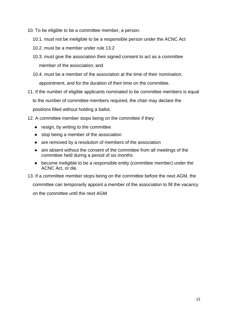- 10. To be eligible to be a committee member, a person:
	- 10.1. must not be ineligible to be a responsible person under the ACNC Act
	- 10.2. must be a member under rule 13.2
	- 10.3. must give the association their signed consent to act as a committee member of the association, and
	- 10.4. must be a member of the association at the time of their nomination, appointment, and for the duration of their time on the committee.
- 11. If the number of eligible applicants nominated to be committee members is equal to the number of committee members required, the chair may declare the positions filled without holding a ballot.
- 12. A committee member stops being on the committee if they:
	- resign, by writing to the committee
	- stop being a member of the association
	- are removed by a resolution of members of the association
	- are absent without the consent of the committee from all meetings of the committee held during a period of six months
	- become ineligible to be a responsible entity (committee member) under the ACNC Act, or die.
- 13. If a committee member stops being on the committee before the next AGM, the committee can temporarily appoint a member of the association to fill the vacancy on the committee until the next AGM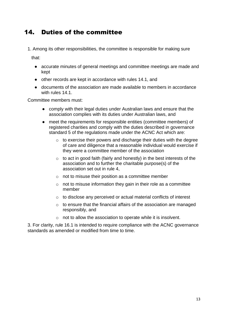## <span id="page-12-0"></span>14. Duties of the committee

1. Among its other responsibilities, the committee is responsible for making sure

that:

- accurate minutes of general meetings and committee meetings are made and kept
- other records are kept in accordance with rules 14.1, and
- documents of the association are made available to members in accordance with rules 14.1.

Committee members must:

- comply with their legal duties under Australian laws and ensure that the association complies with its duties under Australian laws, and
- meet the requirements for responsible entities (committee members) of registered charities and comply with the duties described in governance standard 5 of the regulations made under the ACNC Act which are:
	- $\circ$  to exercise their powers and discharge their duties with the degree of care and diligence that a reasonable individual would exercise if they were a committee member of the association
	- o to act in good faith (fairly and honestly) in the best interests of the association and to further the charitable purpose(s) of the association set out in rule 4,
	- o not to misuse their position as a committee member
	- $\circ$  not to misuse information they gain in their role as a committee member
	- o to disclose any perceived or actual material conflicts of interest
	- $\circ$  to ensure that the financial affairs of the association are managed responsibly, and
	- o not to allow the association to operate while it is insolvent.

3. For clarity, rule 16.1 is intended to require compliance with the ACNC governance standards as amended or modified from time to time.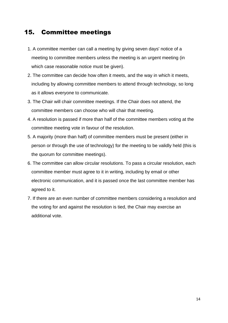#### <span id="page-13-0"></span>15. Committee meetings

- 1. A committee member can call a meeting by giving seven days' notice of a meeting to committee members unless the meeting is an urgent meeting (in which case reasonable notice must be given).
- 2. The committee can decide how often it meets, and the way in which it meets, including by allowing committee members to attend through technology, so long as it allows everyone to communicate.
- 3. The Chair will chair committee meetings. If the Chair does not attend, the committee members can choose who will chair that meeting.
- 4. A resolution is passed if more than half of the committee members voting at the committee meeting vote in favour of the resolution.
- 5. A majority (more than half) of committee members must be present (either in person or through the use of technology) for the meeting to be validly held (this is the quorum for committee meetings).
- 6. The committee can allow circular resolutions. To pass a circular resolution, each committee member must agree to it in writing, including by email or other electronic communication, and it is passed once the last committee member has agreed to it.
- 7. If there are an even number of committee members considering a resolution and the voting for and against the resolution is tied, the Chair may exercise an additional vote.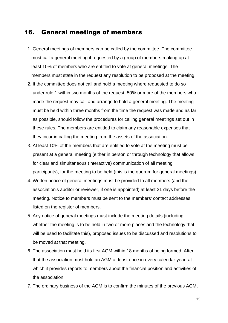#### <span id="page-14-0"></span>16. General meetings of members

- 1. General meetings of members can be called by the committee. The committee must call a general meeting if requested by a group of members making up at least 10% of members who are entitled to vote at general meetings. The members must state in the request any resolution to be proposed at the meeting.
- 2. If the committee does not call and hold a meeting where requested to do so under rule 1 within two months of the request, 50% or more of the members who made the request may call and arrange to hold a general meeting. The meeting must be held within three months from the time the request was made and as far as possible, should follow the procedures for calling general meetings set out in these rules. The members are entitled to claim any reasonable expenses that they incur in calling the meeting from the assets of the association.
- 3. At least 10% of the members that are entitled to vote at the meeting must be present at a general meeting (either in person or through technology that allows for clear and simultaneous (interactive) communication of all meeting participants), for the meeting to be held (this is the quorum for general meetings).
- 4. Written notice of general meetings must be provided to all members (and the association's auditor or reviewer, if one is appointed) at least 21 days before the meeting. Notice to members must be sent to the members' contact addresses listed on the register of members.
- 5. Any notice of general meetings must include the meeting details (including whether the meeting is to be held in two or more places and the technology that will be used to facilitate this), proposed issues to be discussed and resolutions to be moved at that meeting.
- 6. The association must hold its first AGM within 18 months of being formed. After that the association must hold an AGM at least once in every calendar year, at which it provides reports to members about the financial position and activities of the association.
- 7. The ordinary business of the AGM is to confirm the minutes of the previous AGM,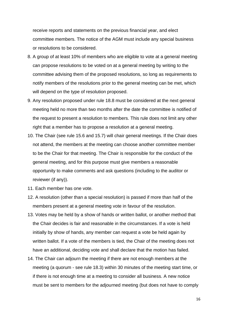receive reports and statements on the previous financial year, and elect committee members. The notice of the AGM must include any special business or resolutions to be considered.

- 8. A group of at least 10% of members who are eligible to vote at a general meeting can propose resolutions to be voted on at a general meeting by writing to the committee advising them of the proposed resolutions, so long as requirements to notify members of the resolutions prior to the general meeting can be met, which will depend on the type of resolution proposed.
- 9. Any resolution proposed under rule 18.8 must be considered at the next general meeting held no more than two months after the date the committee is notified of the request to present a resolution to members. This rule does not limit any other right that a member has to propose a resolution at a general meeting.
- 10. The Chair (see rule 15.6 and 15.7) will chair general meetings. If the Chair does not attend, the members at the meeting can choose another committee member to be the Chair for that meeting. The Chair is responsible for the conduct of the general meeting, and for this purpose must give members a reasonable opportunity to make comments and ask questions (including to the auditor or reviewer (if any)).
- 11. Each member has one vote.
- 12. A resolution (other than a special resolution) is passed if more than half of the members present at a general meeting vote in favour of the resolution.
- 13. Votes may be held by a show of hands or written ballot, or another method that the Chair decides is fair and reasonable in the circumstances. If a vote is held initially by show of hands, any member can request a vote be held again by written ballot. If a vote of the members is tied, the Chair of the meeting does not have an additional, deciding vote and shall declare that the motion has failed.
- 14. The Chair can adjourn the meeting if there are not enough members at the meeting (a quorum - see rule 18.3) within 30 minutes of the meeting start time, or if there is not enough time at a meeting to consider all business. A new notice must be sent to members for the adjourned meeting (but does not have to comply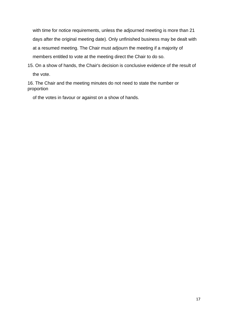with time for notice requirements, unless the adjourned meeting is more than 21 days after the original meeting date). Only unfinished business may be dealt with at a resumed meeting. The Chair must adjourn the meeting if a majority of members entitled to vote at the meeting direct the Chair to do so.

15. On a show of hands, the Chair's decision is conclusive evidence of the result of the vote.

16. The Chair and the meeting minutes do not need to state the number or proportion

of the votes in favour or against on a show of hands.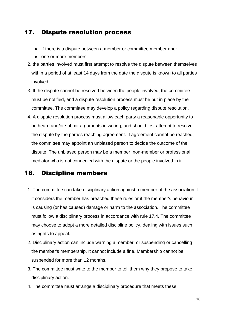#### <span id="page-17-0"></span>17. Dispute resolution process

- If there is a dispute between a member or committee member and:
- one or more members
- 2. the parties involved must first attempt to resolve the dispute between themselves within a period of at least 14 days from the date the dispute is known to all parties involved.
- 3. If the dispute cannot be resolved between the people involved, the committee must be notified, and a dispute resolution process must be put in place by the committee. The committee may develop a policy regarding dispute resolution.
- 4. A dispute resolution process must allow each party a reasonable opportunity to be heard and/or submit arguments in writing, and should first attempt to resolve the dispute by the parties reaching agreement. If agreement cannot be reached, the committee may appoint an unbiased person to decide the outcome of the dispute. The unbiased person may be a member, non-member or professional mediator who is not connected with the dispute or the people involved in it.

#### <span id="page-17-1"></span>18. Discipline members

- 1. The committee can take disciplinary action against a member of the association if it considers the member has breached these rules or if the member's behaviour is causing (or has caused) damage or harm to the association. The committee must follow a disciplinary process in accordance with rule 17.4. The committee may choose to adopt a more detailed discipline policy, dealing with issues such as rights to appeal.
- 2. Disciplinary action can include warning a member, or suspending or cancelling the member's membership. It cannot include a fine. Membership cannot be suspended for more than 12 months.
- 3. The committee must write to the member to tell them why they propose to take disciplinary action.
- 4. The committee must arrange a disciplinary procedure that meets these